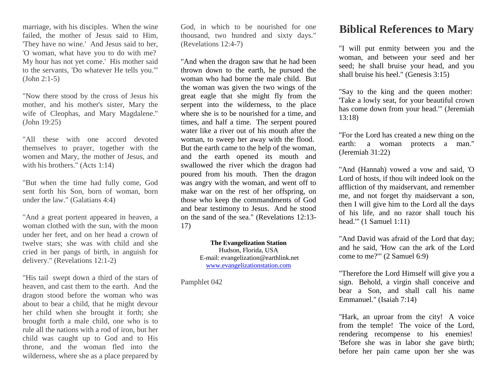marriage, with his disciples. When the wine failed, the mother of Jesus said to Him, 'They have no wine.' And Jesus said to her, 'O woman, what have you to do with me? My hour has not yet come.' His mother said to the servants, 'Do whatever He tells you.'" (John 2:1-5)

"Now there stood by the cross of Jesus his mother, and his mother's sister, Mary the wife of Cleophas, and Mary Magdalene." (John 19:25)

"All these with one accord devoted themselves to prayer, together with the women and Mary, the mother of Jesus, and with his brothers." (Acts 1:14)

"But when the time had fully come, God sent forth his Son, born of woman, born under the law." (Galatians 4:4)

"And a great portent appeared in heaven, a woman clothed with the sun, with the moon under her feet, and on her head a crown of twelve stars; she was with child and she cried in her pangs of birth, in anguish for delivery." (Revelations 12:1-2)

"His tail swept down a third of the stars of heaven, and cast them to the earth. And the dragon stood before the woman who was about to bear a child, that he might devour her child when she brought it forth; she brought forth a male child, one who is to rule all the nations with a rod of iron, but her child was caught up to God and to His throne, and the woman fled into the wilderness, where she as a place prepared by

God, in which to be nourished for one thousand, two hundred and sixty days." (Revelations 12:4-7)

"And when the dragon saw that he had been thrown down to the earth, he pursued the woman who had borne the male child. But the woman was given the two wings of the great eagle that she might fly from the serpent into the wilderness, to the place where she is to be nourished for a time, and times, and half a time. The serpent poured water like a river out of his mouth after the woman, to sweep her away with the flood. But the earth came to the help of the woman, and the earth opened its mouth and swallowed the river which the dragon had poured from his mouth. Then the dragon was angry with the woman, and went off to make war on the rest of her offspring, on those who keep the commandments of God and bear testimony to Jesus. And he stood on the sand of the sea." (Revelations 12:13- 17)

> **The Evangelization Station** Hudson, Florida, USA E-mail: evangelization@earthlink.net [www.evangelizationstation.com](http://www.pjpiisoe.org/)

Pamphlet 042

## **Biblical References to Mary**

"I will put enmity between you and the woman, and between your seed and her seed; he shall bruise your head, and you shall bruise his heel." (Genesis 3:15)

"Say to the king and the queen mother: 'Take a lowly seat, for your beautiful crown has come down from your head.'" (Jeremiah 13:18)

"For the Lord has created a new thing on the earth: a woman protects a man." (Jeremiah 31:22)

"And (Hannah) vowed a vow and said, 'O Lord of hosts, if thou wilt indeed look on the affliction of thy maidservant, and remember me, and not forget thy maidservant a son, then I will give him to the Lord all the days of his life, and no razor shall touch his head.'" (1 Samuel 1:11)

"And David was afraid of the Lord that day; and he said, 'How can the ark of the Lord come to me?'" (2 Samuel 6:9)

"Therefore the Lord Himself will give you a sign. Behold, a virgin shall conceive and bear a Son, and shall call his name Emmanuel." (Isaiah 7:14)

"Hark, an uproar from the city! A voice from the temple! The voice of the Lord, rendering recompense to his enemies! 'Before she was in labor she gave birth; before her pain came upon her she was